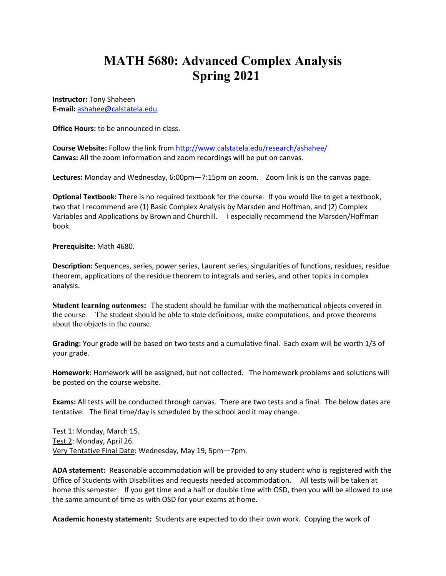## **MATH 5680: Advanced Complex Analysis Spring 2021**

**Instructor:** Tony Shaheen **E-mail:** ashahee@calstatela.edu

**Office Hours:** to be announced in class.

**Course Website:** Follow the link from http://www.calstatela.edu/research/ashahee/ **Canvas:** All the zoom information and zoom recordings will be put on canvas.

**Lectures:** Monday and Wednesday, 6:00pm—7:15pm on zoom. Zoom link is on the canvas page.

**Optional Textbook:** There is no required textbook for the course. If you would like to get a textbook, two that I recommend are (1) Basic Complex Analysis by Marsden and Hoffman, and (2) Complex Variables and Applications by Brown and Churchill. I especially recommend the Marsden/Hoffman book.

**Prerequisite:** Math 4680.

**Description:** Sequences, series, power series, Laurent series, singularities of functions, residues, residue theorem, applications of the residue theorem to integrals and series, and other topics in complex analysis.

**Student learning outcomes:** The student should be familiar with the mathematical objects covered in the course. The student should be able to state definitions, make computations, and prove theorems about the objects in the course.

**Grading:** Your grade will be based on two tests and a cumulative final. Each exam will be worth 1/3 of your grade.

**Homework:** Homework will be assigned, but not collected. The homework problems and solutions will be posted on the course website.

**Exams:** All tests will be conducted through canvas. There are two tests and a final. The below dates are tentative. The final time/day is scheduled by the school and it may change.

Test 1: Monday, March 15. Test 2: Monday, April 26. Very Tentative Final Date: Wednesday, May 19, 5pm—7pm.

**ADA statement:** Reasonable accommodation will be provided to any student who is registered with the Office of Students with Disabilities and requests needed accommodation. All tests will be taken at home this semester. If you get time and a half or double time with OSD, then you will be allowed to use the same amount of time as with OSD for your exams at home.

**Academic honesty statement:** Students are expected to do their own work. Copying the work of